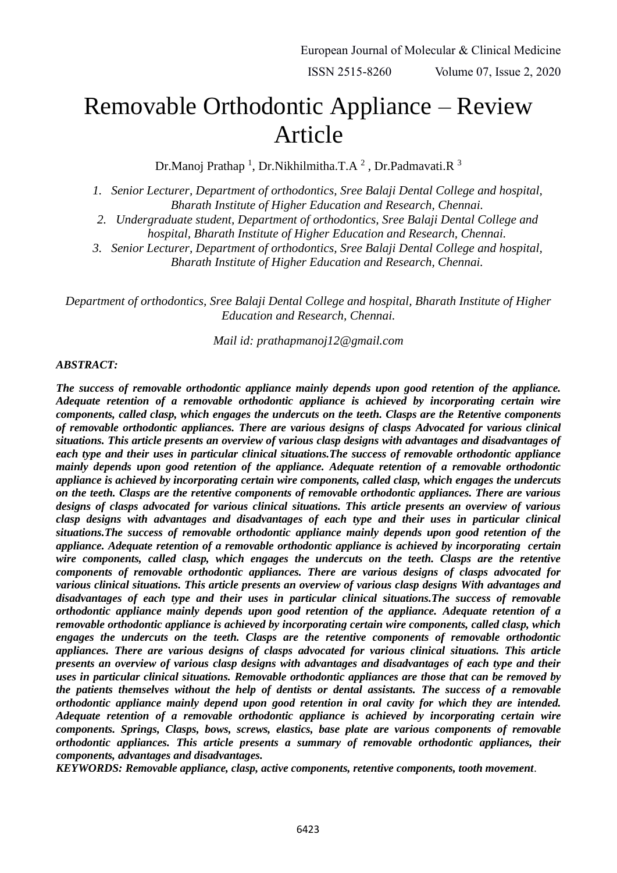# Removable Orthodontic Appliance – Review Article

Dr.Manoj Prathap<sup>1</sup>, Dr.Nikhilmitha.T.A<sup>2</sup>, Dr.Padmavati.R<sup>3</sup>

*1. Senior Lecturer, Department of orthodontics, Sree Balaji Dental College and hospital, Bharath Institute of Higher Education and Research, Chennai.*

*2. Undergraduate student, Department of orthodontics, Sree Balaji Dental College and hospital, Bharath Institute of Higher Education and Research, Chennai.*

*3. Senior Lecturer, Department of orthodontics, Sree Balaji Dental College and hospital, Bharath Institute of Higher Education and Research, Chennai.*

*Department of orthodontics, Sree Balaji Dental College and hospital, Bharath Institute of Higher Education and Research, Chennai.*

*Mail id: prathapmanoj12@gmail.com*

#### *ABSTRACT:*

*The success of removable orthodontic appliance mainly depends upon good retention of the appliance. Adequate retention of a removable orthodontic appliance is achieved by incorporating certain wire components, called clasp, which engages the undercuts on the teeth. Clasps are the Retentive components of removable orthodontic appliances. There are various designs of clasps Advocated for various clinical situations. This article presents an overview of various clasp designs with advantages and disadvantages of each type and their uses in particular clinical situations.The success of removable orthodontic appliance mainly depends upon good retention of the appliance. Adequate retention of a removable orthodontic appliance is achieved by incorporating certain wire components, called clasp, which engages the undercuts on the teeth. Clasps are the retentive components of removable orthodontic appliances. There are various designs of clasps advocated for various clinical situations. This article presents an overview of various clasp designs with advantages and disadvantages of each type and their uses in particular clinical situations.The success of removable orthodontic appliance mainly depends upon good retention of the appliance. Adequate retention of a removable orthodontic appliance is achieved by incorporating certain wire components, called clasp, which engages the undercuts on the teeth. Clasps are the retentive components of removable orthodontic appliances. There are various designs of clasps advocated for various clinical situations. This article presents an overview of various clasp designs With advantages and disadvantages of each type and their uses in particular clinical situations.The success of removable orthodontic appliance mainly depends upon good retention of the appliance. Adequate retention of a removable orthodontic appliance is achieved by incorporating certain wire components, called clasp, which engages the undercuts on the teeth. Clasps are the retentive components of removable orthodontic appliances. There are various designs of clasps advocated for various clinical situations. This article presents an overview of various clasp designs with advantages and disadvantages of each type and their uses in particular clinical situations. Removable orthodontic appliances are those that can be removed by the patients themselves without the help of dentists or dental assistants. The success of a removable orthodontic appliance mainly depend upon good retention in oral cavity for which they are intended. Adequate retention of a removable orthodontic appliance is achieved by incorporating certain wire components. Springs, Clasps, bows, screws, elastics, base plate are various components of removable orthodontic appliances. This article presents a summary of removable orthodontic appliances, their components, advantages and disadvantages.*

*KEYWORDS: Removable appliance, clasp, active components, retentive components, tooth movement*.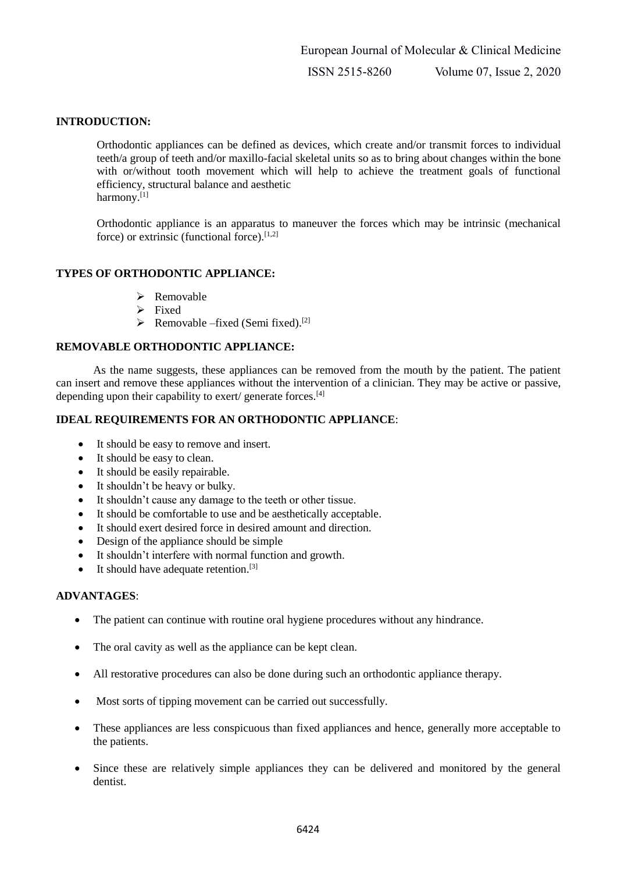## **INTRODUCTION:**

Orthodontic appliances can be defined as devices, which create and/or transmit forces to individual teeth/a group of teeth and/or maxillo-facial skeletal units so as to bring about changes within the bone with or/without tooth movement which will help to achieve the treatment goals of functional efficiency, structural balance and aesthetic harmony.<sup>[1]</sup>

Orthodontic appliance is an apparatus to maneuver the forces which may be intrinsic (mechanical force) or extrinsic (functional force). $[1,2]$ 

## **TYPES OF ORTHODONTIC APPLIANCE:**

- $\triangleright$  Removable
- $\triangleright$  Fixed
- $\triangleright$  Removable –fixed (Semi fixed).<sup>[2]</sup>

## **REMOVABLE ORTHODONTIC APPLIANCE:**

As the name suggests, these appliances can be removed from the mouth by the patient. The patient can insert and remove these appliances without the intervention of a clinician. They may be active or passive, depending upon their capability to exert/ generate forces.<sup>[4]</sup>

## **IDEAL REQUIREMENTS FOR AN ORTHODONTIC APPLIANCE**:

- It should be easy to remove and insert.
- It should be easy to clean.
- It should be easily repairable.
- It shouldn't be heavy or bulky.
- It shouldn't cause any damage to the teeth or other tissue.
- It should be comfortable to use and be aesthetically acceptable.
- It should exert desired force in desired amount and direction.
- Design of the appliance should be simple
- It shouldn't interfere with normal function and growth.
- $\bullet$  It should have adequate retention.<sup>[3]</sup>

## **ADVANTAGES**:

- The patient can continue with routine oral hygiene procedures without any hindrance.
- The oral cavity as well as the appliance can be kept clean.
- All restorative procedures can also be done during such an orthodontic appliance therapy.
- Most sorts of tipping movement can be carried out successfully.
- These appliances are less conspicuous than fixed appliances and hence, generally more acceptable to the patients.
- Since these are relatively simple appliances they can be delivered and monitored by the general dentist.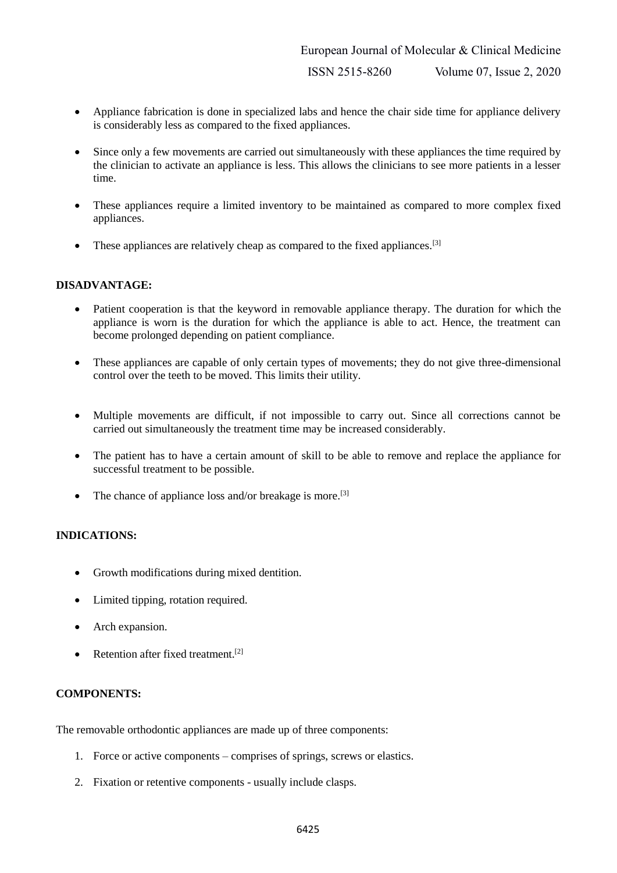- Appliance fabrication is done in specialized labs and hence the chair side time for appliance delivery is considerably less as compared to the fixed appliances.
- Since only a few movements are carried out simultaneously with these appliances the time required by the clinician to activate an appliance is less. This allows the clinicians to see more patients in a lesser time.
- These appliances require a limited inventory to be maintained as compared to more complex fixed appliances.
- $\bullet$  These appliances are relatively cheap as compared to the fixed appliances.<sup>[3]</sup>

# **DISADVANTAGE:**

- Patient cooperation is that the keyword in removable appliance therapy. The duration for which the appliance is worn is the duration for which the appliance is able to act. Hence, the treatment can become prolonged depending on patient compliance.
- These appliances are capable of only certain types of movements; they do not give three-dimensional control over the teeth to be moved. This limits their utility.
- Multiple movements are difficult, if not impossible to carry out. Since all corrections cannot be carried out simultaneously the treatment time may be increased considerably.
- The patient has to have a certain amount of skill to be able to remove and replace the appliance for successful treatment to be possible.
- The chance of appliance loss and/or breakage is more.<sup>[3]</sup>

# **INDICATIONS:**

- Growth modifications during mixed dentition.
- Limited tipping, rotation required.
- Arch expansion.
- Retention after fixed treatment.<sup>[2]</sup>

# **COMPONENTS:**

The removable orthodontic appliances are made up of three components:

- 1. Force or active components comprises of springs, screws or elastics.
- 2. Fixation or retentive components usually include clasps.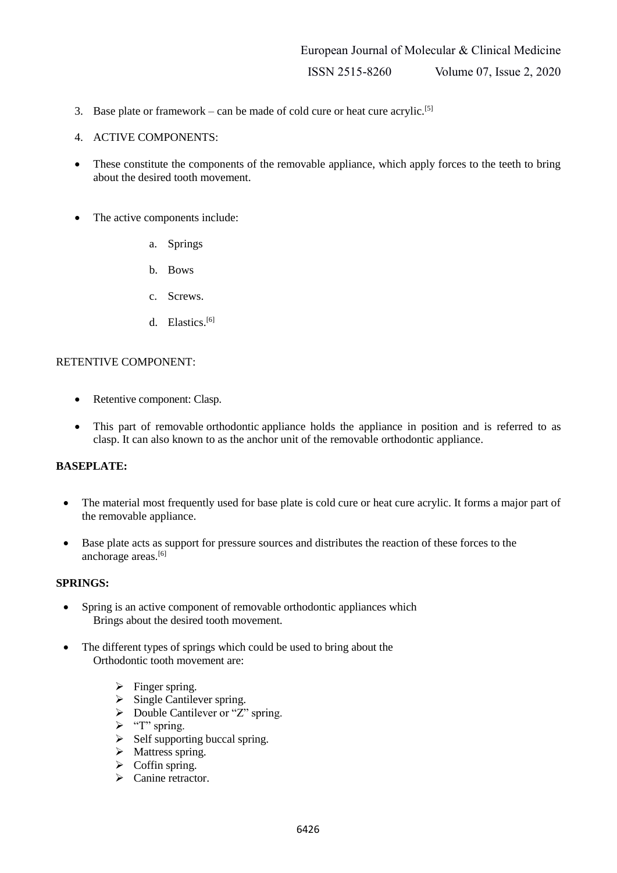- 3. Base plate or framework can be made of cold cure or heat cure acrylic.<sup>[5]</sup>
- 4. ACTIVE COMPONENTS:
- These constitute the components of the removable appliance, which apply forces to the teeth to bring about the desired tooth movement.
- The active components include:
	- a. Springs
	- b. Bows
	- c. Screws.
	- d. Elastics.<sup>[6]</sup>

#### RETENTIVE COMPONENT:

- Retentive component: Clasp.
- This part of removable orthodontic appliance holds the appliance in position and is referred to as clasp. It can also known to as the anchor unit of the removable orthodontic appliance.

#### **BASEPLATE:**

- The material most frequently used for base plate is cold cure or heat cure acrylic. It forms a major part of the removable appliance.
- Base plate acts as support for pressure sources and distributes the reaction of these forces to the anchorage areas.[6]

#### **SPRINGS:**

- Spring is an active component of removable orthodontic appliances which Brings about the desired tooth movement.
- The different types of springs which could be used to bring about the Orthodontic tooth movement are:
	- $\triangleright$  Finger spring.
	- $\triangleright$  Single Cantilever spring.
	- $\triangleright$  Double Cantilever or "Z" spring.
	- $\triangleright$  "T" spring.
	- $\triangleright$  Self supporting buccal spring.
	- $\triangleright$  Mattress spring.
	- $\triangleright$  Coffin spring.
	- $\triangleright$  Canine retractor.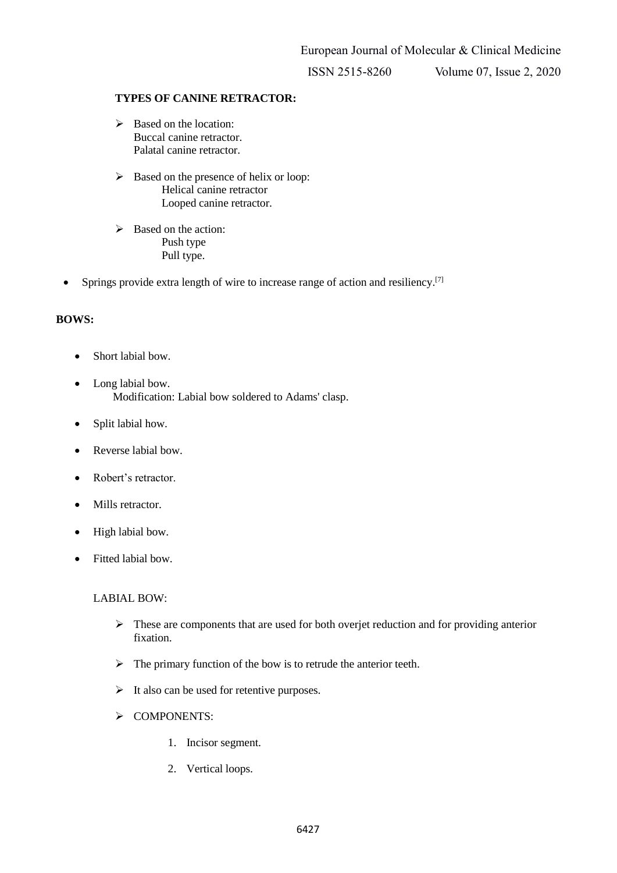ISSN 2515-8260 Volume 07, Issue 2, 2020

## **TYPES OF CANINE RETRACTOR:**

- $\triangleright$  Based on the location: Buccal canine retractor. Palatal canine retractor.
- $\triangleright$  Based on the presence of helix or loop: Helical canine retractor Looped canine retractor.
- $\triangleright$  Based on the action: Push type Pull type.
- Springs provide extra length of wire to increase range of action and resiliency.<sup>[7]</sup>

## **BOWS:**

- Short labial bow.
- Long labial bow. Modification: Labial bow soldered to Adams' clasp.
- Split labial how.
- Reverse labial bow.
- Robert's retractor.
- Mills retractor.
- High labial bow.
- Fitted labial bow.

LABIAL BOW:

- $\triangleright$  These are components that are used for both overjet reduction and for providing anterior fixation.
- $\triangleright$  The primary function of the bow is to retrude the anterior teeth.
- $\triangleright$  It also can be used for retentive purposes.
- > COMPONENTS:
	- 1. Incisor segment.
	- 2. Vertical loops.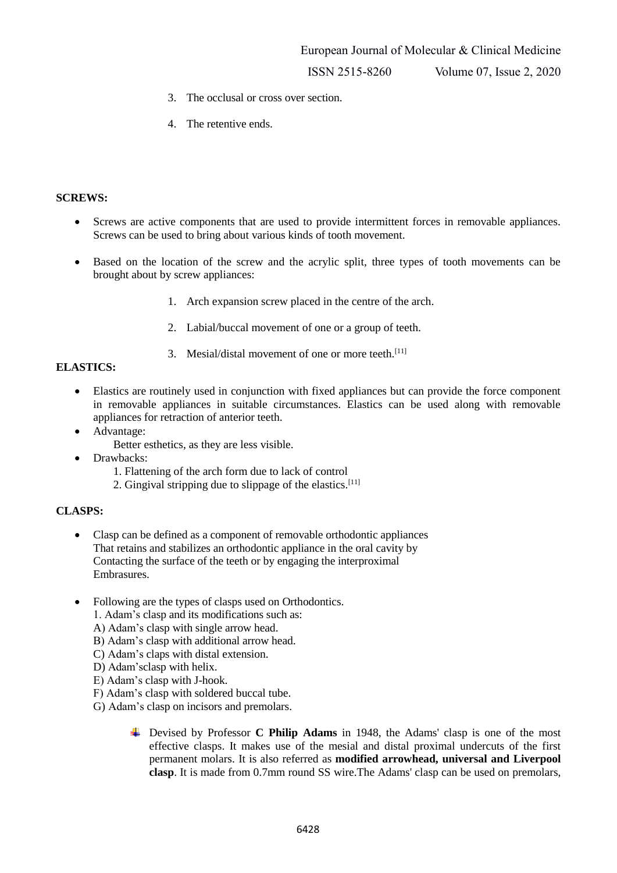European Journal of Molecular & Clinical Medicine

ISSN 2515-8260 Volume 07, Issue 2, 2020

- 3. The occlusal or cross over section.
- 4. The retentive ends.

#### **SCREWS:**

- Screws are active components that are used to provide intermittent forces in removable appliances. Screws can be used to bring about various kinds of tooth movement.
- Based on the location of the screw and the acrylic split, three types of tooth movements can be brought about by screw appliances:
	- 1. Arch expansion screw placed in the centre of the arch.
	- 2. Labial/buccal movement of one or a group of teeth.
	- 3. Mesial/distal movement of one or more teeth.<sup>[11]</sup>

# **ELASTICS:**

- Elastics are routinely used in conjunction with fixed appliances but can provide the force component in removable appliances in suitable circumstances. Elastics can be used along with removable appliances for retraction of anterior teeth.
- Advantage:
	- Better esthetics, as they are less visible.
- Drawbacks:
	- 1. Flattening of the arch form due to lack of control
	- 2. Gingival stripping due to slippage of the elastics.<sup>[11]</sup>

#### **CLASPS:**

- Clasp can be defined as a component of removable orthodontic appliances That retains and stabilizes an orthodontic appliance in the oral cavity by Contacting the surface of the teeth or by engaging the interproximal Embrasures.
- Following are the types of clasps used on Orthodontics.
	- 1. Adam's clasp and its modifications such as:
	- A) Adam's clasp with single arrow head.
	- B) Adam's clasp with additional arrow head.
	- C) Adam's claps with distal extension.
	- D) Adam'sclasp with helix.
	- E) Adam's clasp with J-hook.
	- F) Adam's clasp with soldered buccal tube.
	- G) Adam's clasp on incisors and premolars.
		- Devised by Professor **C Philip Adams** in 1948, the Adams' clasp is one of the most effective clasps. It makes use of the mesial and distal proximal undercuts of the first permanent molars. It is also referred as **modified arrowhead, universal and Liverpool clasp**. It is made from 0.7mm round SS wire.The Adams' clasp can be used on premolars,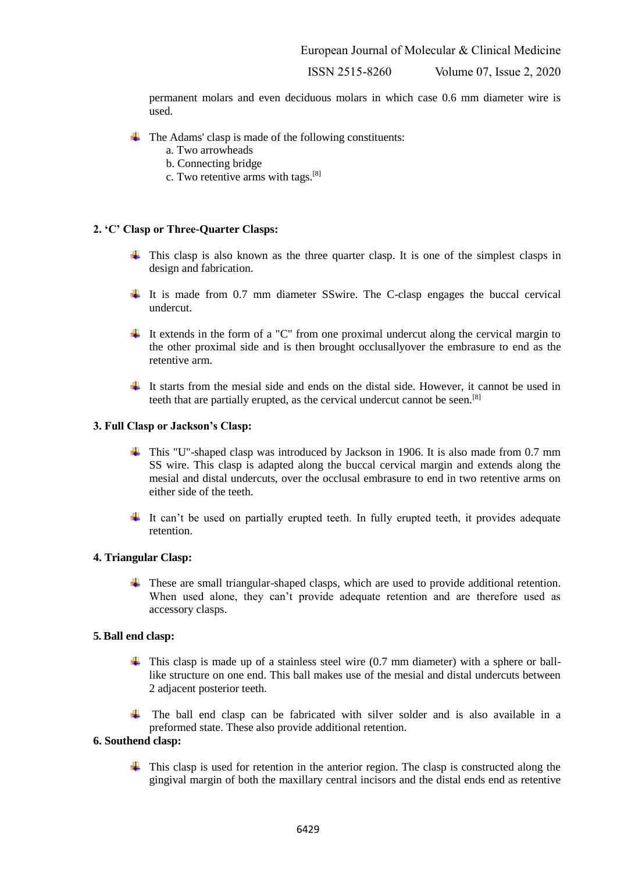ISSN 2515-8260 Volume 07, Issue 2, 2020

permanent molars and even deciduous molars in which case 0.6 mm diameter wire is used.

- $\overline{\text{I}}$  The Adams' clasp is made of the following constituents:
	- a. Two arrowheads
	- b. Connecting bridge
	- c. Two retentive arms with tags.[8]

#### **2. 'C' Clasp or Three-Quarter Clasps:**

- $\pm$  This clasp is also known as the three quarter clasp. It is one of the simplest clasps in design and fabrication.
- It is made from 0.7 mm diameter SSwire. The C-clasp engages the buccal cervical undercut.
- $\ddot{\text{I}}$  It extends in the form of a "C" from one proximal undercut along the cervical margin to the other proximal side and is then brought occlusallyover the embrasure to end as the retentive arm.
- It starts from the mesial side and ends on the distal side. However, it cannot be used in teeth that are partially erupted, as the cervical undercut cannot be seen.[8]

#### **3. Full Clasp or Jackson's Clasp:**

- This "U"-shaped clasp was introduced by Jackson in 1906. It is also made from 0.7 mm SS wire. This clasp is adapted along the buccal cervical margin and extends along the mesial and distal undercuts, over the occlusal embrasure to end in two retentive arms on either side of the teeth.
- $\pm$  It can't be used on partially erupted teeth. In fully erupted teeth, it provides adequate retention.

#### **4. Triangular Clasp:**

 $\ddot{\text{+}}$  These are small triangular-shaped clasps, which are used to provide additional retention. When used alone, they can't provide adequate retention and are therefore used as accessory clasps.

#### **5. Ball end clasp:**

- $\ddot{\phantom{1}}$  This clasp is made up of a stainless steel wire (0.7 mm diameter) with a sphere or balllike structure on one end. This ball makes use of the mesial and distal undercuts between 2 adjacent posterior teeth.
- $\ddot{\text{I}}$  The ball end clasp can be fabricated with silver solder and is also available in a preformed state. These also provide additional retention.

#### **6. Southend clasp:**

 $\ddot{\phantom{1}}$  This clasp is used for retention in the anterior region. The clasp is constructed along the gingival margin of both the maxillary central incisors and the distal ends end as retentive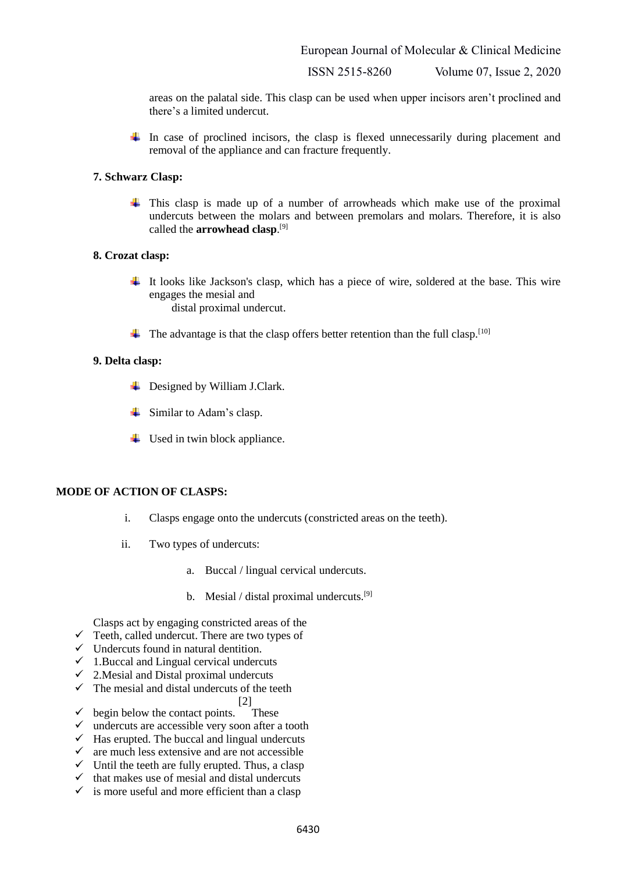European Journal of Molecular & Clinical Medicine

ISSN 2515-8260 Volume 07, Issue 2, 2020

areas on the palatal side. This clasp can be used when upper incisors aren't proclined and there's a limited undercut.

In case of proclined incisors, the clasp is flexed unnecessarily during placement and removal of the appliance and can fracture frequently.

#### **7. Schwarz Clasp:**

 $\pm$  This clasp is made up of a number of arrowheads which make use of the proximal undercuts between the molars and between premolars and molars. Therefore, it is also called the **arrowhead clasp**. [9]

#### **8. Crozat clasp:**

- It looks like Jackson's clasp, which has a piece of wire, soldered at the base. This wire engages the mesial and distal proximal undercut.
- $\ddot{\text{I}}$  The advantage is that the clasp offers better retention than the full clasp.<sup>[10]</sup>

#### **9. Delta clasp:**

- $\downarrow$  Designed by William J.Clark.
- $\frac{1}{\sqrt{2}}$  Similar to Adam's clasp.
- $\ddot{\bullet}$  Used in twin block appliance.

#### **MODE OF ACTION OF CLASPS:**

- i. Clasps engage onto the undercuts (constricted areas on the teeth).
- ii. Two types of undercuts:
	- a. Buccal / lingual cervical undercuts.
	- b. Mesial / distal proximal undercuts.<sup>[9]</sup>

Clasps act by engaging constricted areas of the

- $\checkmark$  Teeth, called undercut. There are two types of
- $\checkmark$  Undercuts found in natural dentition.
- $\checkmark$  1.Buccal and Lingual cervical undercuts
- $\checkmark$  2. Mesial and Distal proximal undercuts
- $\checkmark$  The mesial and distal undercuts of the teeth
	- [2]
- $\checkmark$  begin below the contact points. These
- $\checkmark$  undercuts are accessible very soon after a tooth
- $\checkmark$  Has erupted. The buccal and lingual undercuts
- $\checkmark$  are much less extensive and are not accessible
- $\checkmark$  Until the teeth are fully erupted. Thus, a clasp
- $\checkmark$  that makes use of mesial and distal undercuts
- $\checkmark$  is more useful and more efficient than a clasp